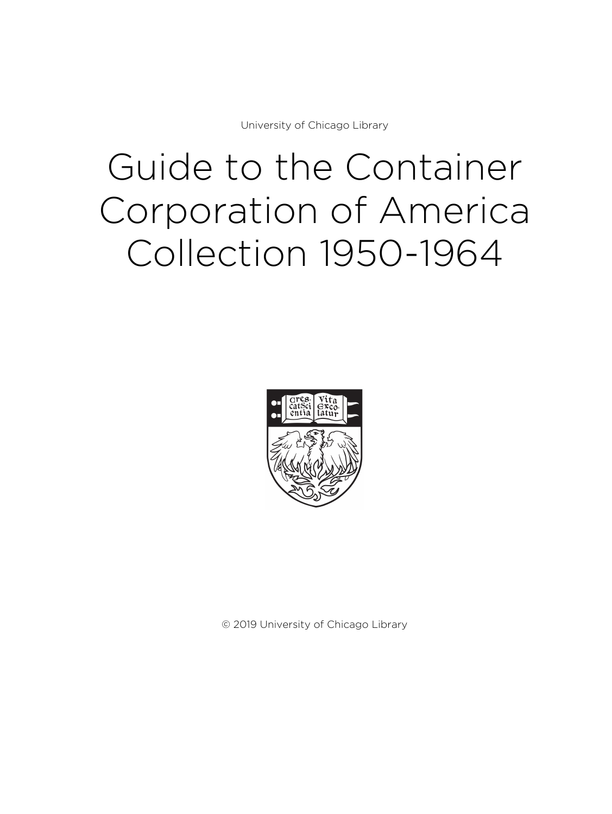University of Chicago Library

# Guide to the Container Corporation of America Collection 1950-1964



© 2019 University of Chicago Library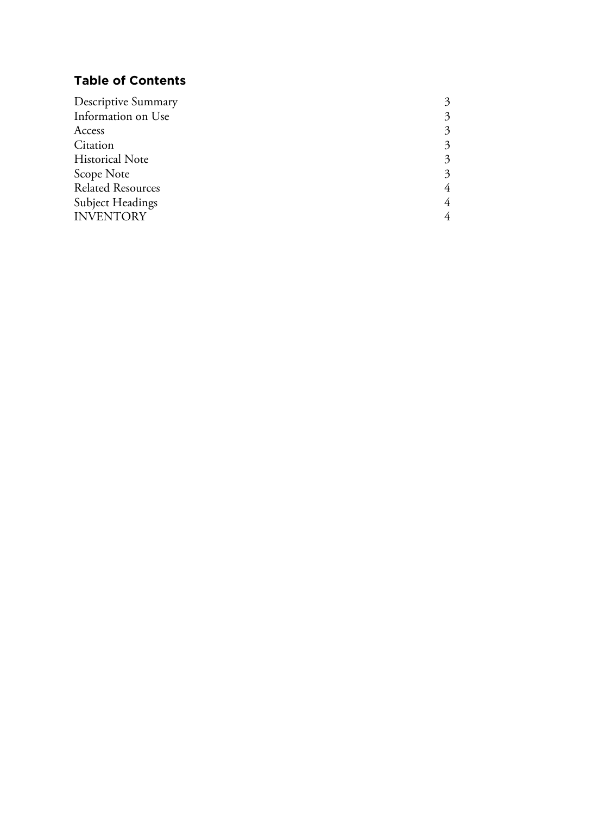# **Table of Contents**

| Descriptive Summary      |                             |
|--------------------------|-----------------------------|
| Information on Use       | 3                           |
| Access                   | 3                           |
| Citation                 | $\mathcal{Z}_{\mathcal{A}}$ |
| <b>Historical Note</b>   | $\mathcal{Z}_{\mathcal{A}}$ |
| Scope Note               | $\mathcal{Z}$               |
| <b>Related Resources</b> | 4                           |
| <b>Subject Headings</b>  | 4                           |
| <b>INVENTORY</b>         |                             |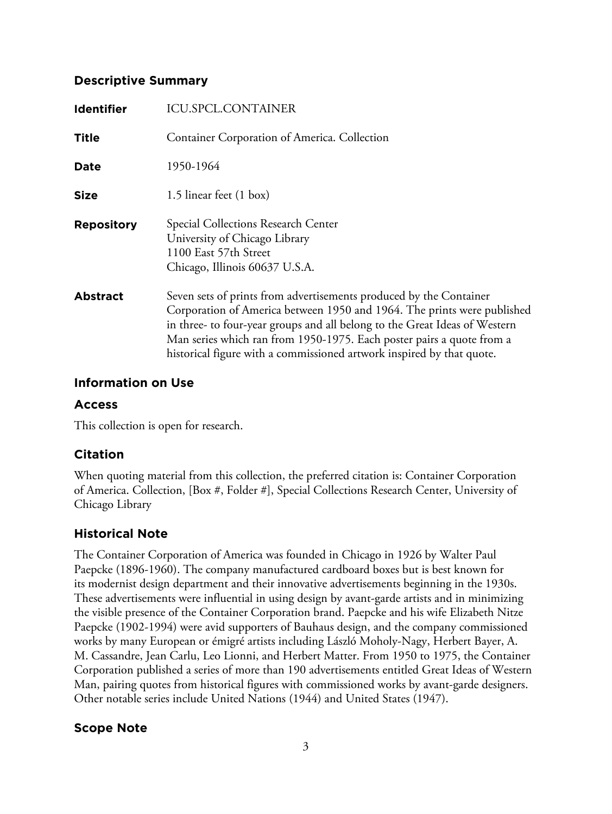#### **Descriptive Summary**

| <b>Identifier</b> | <b>ICU.SPCL.CONTAINER</b>                                                                                                                                                                                                                                                                                                                                                     |
|-------------------|-------------------------------------------------------------------------------------------------------------------------------------------------------------------------------------------------------------------------------------------------------------------------------------------------------------------------------------------------------------------------------|
| <b>Title</b>      | Container Corporation of America. Collection                                                                                                                                                                                                                                                                                                                                  |
| Date              | 1950-1964                                                                                                                                                                                                                                                                                                                                                                     |
| <b>Size</b>       | 1.5 linear feet (1 box)                                                                                                                                                                                                                                                                                                                                                       |
| <b>Repository</b> | Special Collections Research Center<br>University of Chicago Library<br>1100 East 57th Street<br>Chicago, Illinois 60637 U.S.A.                                                                                                                                                                                                                                               |
| <b>Abstract</b>   | Seven sets of prints from advertisements produced by the Container<br>Corporation of America between 1950 and 1964. The prints were published<br>in three- to four-year groups and all belong to the Great Ideas of Western<br>Man series which ran from 1950-1975. Each poster pairs a quote from a<br>historical figure with a commissioned artwork inspired by that quote. |

### **Information on Use**

#### **Access**

This collection is open for research.

## **Citation**

When quoting material from this collection, the preferred citation is: Container Corporation of America. Collection, [Box #, Folder #], Special Collections Research Center, University of Chicago Library

# **Historical Note**

The Container Corporation of America was founded in Chicago in 1926 by Walter Paul Paepcke (1896-1960). The company manufactured cardboard boxes but is best known for its modernist design department and their innovative advertisements beginning in the 1930s. These advertisements were influential in using design by avant-garde artists and in minimizing the visible presence of the Container Corporation brand. Paepcke and his wife Elizabeth Nitze Paepcke (1902-1994) were avid supporters of Bauhaus design, and the company commissioned works by many European or émigré artists including László Moholy-Nagy, Herbert Bayer, A. M. Cassandre, Jean Carlu, Leo Lionni, and Herbert Matter. From 1950 to 1975, the Container Corporation published a series of more than 190 advertisements entitled Great Ideas of Western Man, pairing quotes from historical figures with commissioned works by avant-garde designers. Other notable series include United Nations (1944) and United States (1947).

## **Scope Note**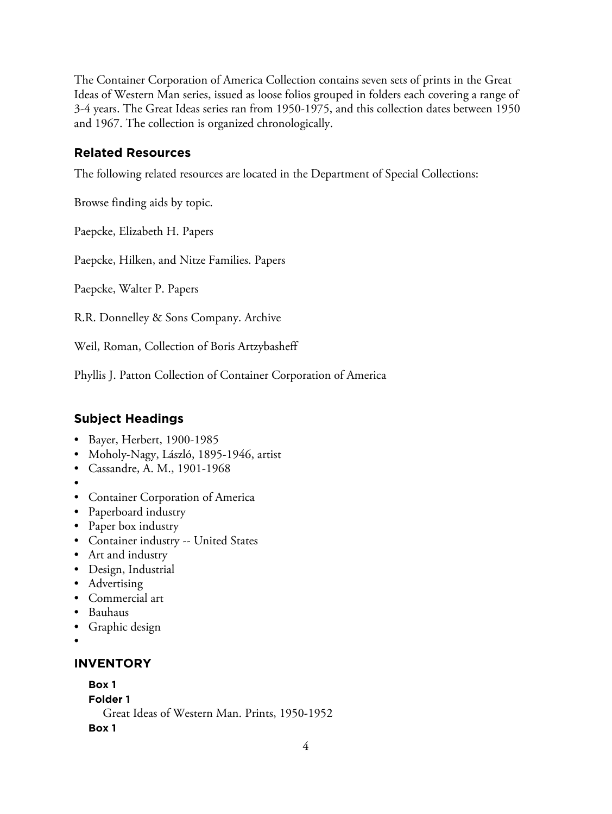The Container Corporation of America Collection contains seven sets of prints in the Great Ideas of Western Man series, issued as loose folios grouped in folders each covering a range of 3-4 years. The Great Ideas series ran from 1950-1975, and this collection dates between 1950 and 1967. The collection is organized chronologically.

## **Related Resources**

The following related resources are located in the Department of Special Collections:

Browse finding aids by topic.

Paepcke, Elizabeth H. Papers

Paepcke, Hilken, and Nitze Families. Papers

Paepcke, Walter P. Papers

R.R. Donnelley & Sons Company. Archive

Weil, Roman, Collection of Boris Artzybasheff

Phyllis J. Patton Collection of Container Corporation of America

# **Subject Headings**

- Bayer, Herbert, 1900-1985
- Moholy-Nagy, László, 1895-1946, artist
- Cassandre, A. M., 1901-1968
- •
- Container Corporation of America
- Paperboard industry
- Paper box industry
- Container industry -- United States
- Art and industry
- Design, Industrial
- Advertising
- Commercial art
- Bauhaus
- Graphic design
- •

#### **INVENTORY**

**Box 1**

**Folder 1**

Great Ideas of Western Man. Prints, 1950-1952

**Box 1**